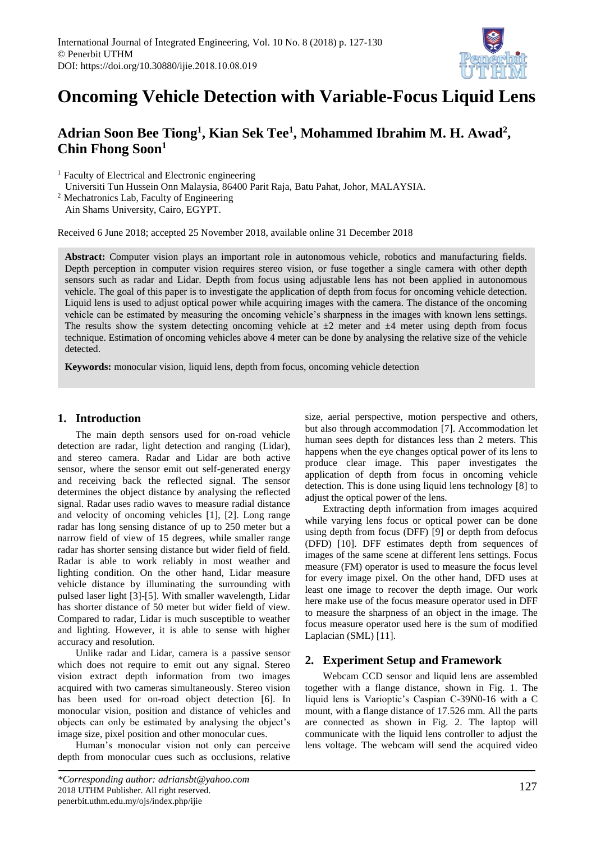

# **Oncoming Vehicle Detection with Variable-Focus Liquid Lens**

## **Adrian Soon Bee Tiong<sup>1</sup> , Kian Sek Tee<sup>1</sup> , Mohammed Ibrahim M. H. Awad<sup>2</sup> , Chin Fhong Soon<sup>1</sup>**

<sup>1</sup> Faculty of Electrical and Electronic engineering

Universiti Tun Hussein Onn Malaysia, 86400 Parit Raja, Batu Pahat, Johor, MALAYSIA.

<sup>2</sup> Mechatronics Lab, Faculty of Engineering

Ain Shams University, Cairo, EGYPT.

Received 6 June 2018; accepted 25 November 2018, available online 31 December 2018

**Abstract:** Computer vision plays an important role in autonomous vehicle, robotics and manufacturing fields. Depth perception in computer vision requires stereo vision, or fuse together a single camera with other depth sensors such as radar and Lidar. Depth from focus using adjustable lens has not been applied in autonomous vehicle. The goal of this paper is to investigate the application of depth from focus for oncoming vehicle detection. Liquid lens is used to adjust optical power while acquiring images with the camera. The distance of the oncoming vehicle can be estimated by measuring the oncoming vehicle's sharpness in the images with known lens settings. The results show the system detecting oncoming vehicle at  $\pm 2$  meter and  $\pm 4$  meter using depth from focus technique. Estimation of oncoming vehicles above 4 meter can be done by analysing the relative size of the vehicle detected.

**Keywords:** monocular vision, liquid lens, depth from focus, oncoming vehicle detection

#### **1. Introduction**

The main depth sensors used for on-road vehicle detection are radar, light detection and ranging (Lidar), and stereo camera. Radar and Lidar are both active sensor, where the sensor emit out self-generated energy and receiving back the reflected signal. The sensor determines the object distance by analysing the reflected signal. Radar uses radio waves to measure radial distance and velocity of oncoming vehicles [1], [2]. Long range radar has long sensing distance of up to 250 meter but a narrow field of view of 15 degrees, while smaller range radar has shorter sensing distance but wider field of field. Radar is able to work reliably in most weather and lighting condition. On the other hand, Lidar measure vehicle distance by illuminating the surrounding with pulsed laser light [3]-[5]. With smaller wavelength, Lidar has shorter distance of 50 meter but wider field of view. Compared to radar, Lidar is much susceptible to weather and lighting. However, it is able to sense with higher accuracy and resolution.

Unlike radar and Lidar, camera is a passive sensor which does not require to emit out any signal. Stereo vision extract depth information from two images acquired with two cameras simultaneously. Stereo vision has been used for on-road object detection [6]. In monocular vision, position and distance of vehicles and objects can only be estimated by analysing the object's image size, pixel position and other monocular cues.

Human's monocular vision not only can perceive depth from monocular cues such as occlusions, relative

size, aerial perspective, motion perspective and others, but also through accommodation [7]. Accommodation let human sees depth for distances less than 2 meters. This happens when the eye changes optical power of its lens to produce clear image. This paper investigates the application of depth from focus in oncoming vehicle detection. This is done using liquid lens technology [8] to adjust the optical power of the lens.

Extracting depth information from images acquired while varying lens focus or optical power can be done using depth from focus (DFF) [9] or depth from defocus (DFD) [10]. DFF estimates depth from sequences of images of the same scene at different lens settings. Focus measure (FM) operator is used to measure the focus level for every image pixel. On the other hand, DFD uses at least one image to recover the depth image. Our work here make use of the focus measure operator used in DFF to measure the sharpness of an object in the image. The focus measure operator used here is the sum of modified Laplacian (SML) [11].

### **2. Experiment Setup and Framework**

Webcam CCD sensor and liquid lens are assembled together with a flange distance, shown in [Fig. 1.](#page-1-0) The liquid lens is Varioptic's Caspian C-39N0-16 with a C mount, with a flange distance of 17.526 mm. All the parts are connected as shown in [Fig. 2.](#page-1-1) The laptop will communicate with the liquid lens controller to adjust the lens voltage. The webcam will send the acquired video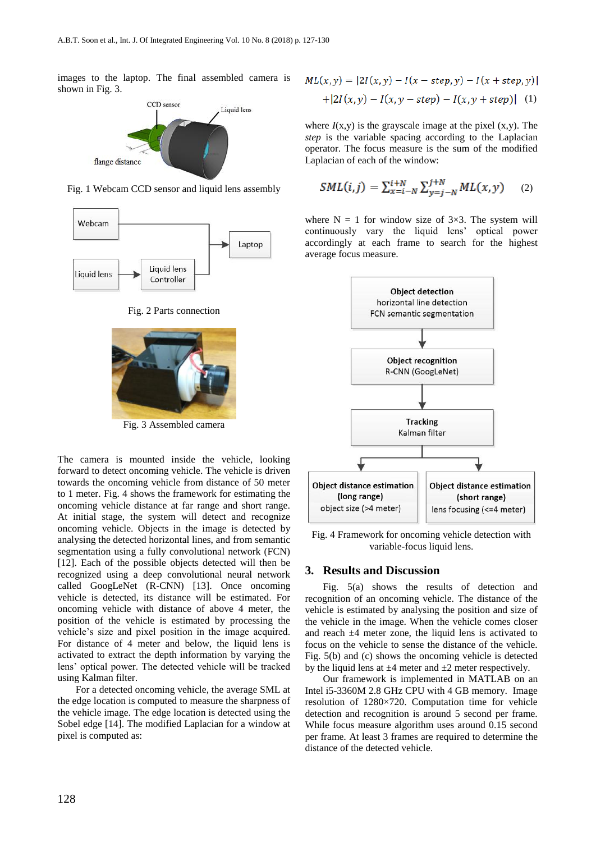images to the laptop. The final assembled camera is shown in [Fig.](#page-1-2) 3.



<span id="page-1-0"></span>Fig. 1 Webcam CCD sensor and liquid lens assembly





<span id="page-1-1"></span>

Fig. 3 Assembled camera

<span id="page-1-2"></span>The camera is mounted inside the vehicle, looking forward to detect oncoming vehicle. The vehicle is driven towards the oncoming vehicle from distance of 50 meter to 1 meter. [Fig.](#page-1-3) 4 shows the framework for estimating the oncoming vehicle distance at far range and short range. At initial stage, the system will detect and recognize oncoming vehicle. Objects in the image is detected by analysing the detected horizontal lines, and from semantic segmentation using a fully convolutional network (FCN) [12]. Each of the possible objects detected will then be recognized using a deep convolutional neural network called GoogLeNet (R-CNN) [13]. Once oncoming vehicle is detected, its distance will be estimated. For oncoming vehicle with distance of above 4 meter, the position of the vehicle is estimated by processing the vehicle's size and pixel position in the image acquired. For distance of 4 meter and below, the liquid lens is activated to extract the depth information by varying the lens' optical power. The detected vehicle will be tracked using Kalman filter.

For a detected oncoming vehicle, the average SML at the edge location is computed to measure the sharpness of the vehicle image. The edge location is detected using the Sobel edge [14]. The modified Laplacian for a window at pixel is computed as:

$$
ML(x, y) = |2I(x, y) - I(x - step, y) - I(x + step, y)|
$$
  
+|2I(x, y) - I(x, y - step) - I(x, y + step)| (1)

where  $I(x,y)$  is the grayscale image at the pixel  $(x,y)$ . The *step* is the variable spacing according to the Laplacian operator. The focus measure is the sum of the modified Laplacian of each of the window:

$$
SML(i,j) = \sum_{x=i-N}^{i+N} \sum_{y=j-N}^{j+N} ML(x,y)
$$
 (2)

where  $N = 1$  for window size of 3×3. The system will continuously vary the liquid lens' optical power accordingly at each frame to search for the highest average focus measure.



<span id="page-1-3"></span>Fig. 4 Framework for oncoming vehicle detection with variable-focus liquid lens.

#### **3. Results and Discussion**

[Fig.](#page-2-0) 5(a) shows the results of detection and recognition of an oncoming vehicle. The distance of the vehicle is estimated by analysing the position and size of the vehicle in the image. When the vehicle comes closer and reach  $\pm 4$  meter zone, the liquid lens is activated to focus on the vehicle to sense the distance of the vehicle. [Fig.](#page-2-0) 5(b) and (c) shows the oncoming vehicle is detected by the liquid lens at  $\pm 4$  meter and  $\pm 2$  meter respectively.

Our framework is implemented in MATLAB on an Intel i5-3360M 2.8 GHz CPU with 4 GB memory. Image resolution of 1280×720. Computation time for vehicle detection and recognition is around 5 second per frame. While focus measure algorithm uses around 0.15 second per frame. At least 3 frames are required to determine the distance of the detected vehicle.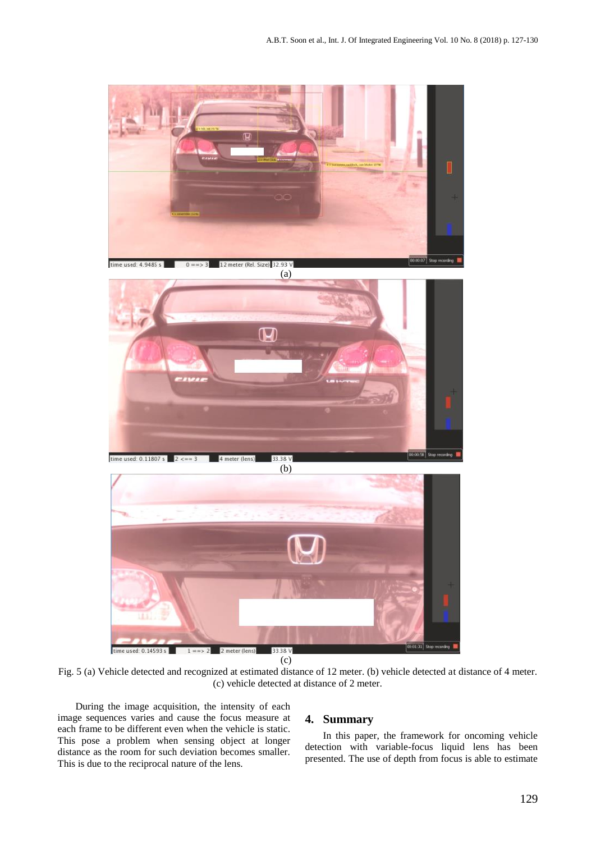

Fig. 5 (a) Vehicle detected and recognized at estimated distance of 12 meter. (b) vehicle detected at distance of 4 meter. (c) vehicle detected at distance of 2 meter.

<span id="page-2-0"></span>During the image acquisition, the intensity of each image sequences varies and cause the focus measure at each frame to be different even when the vehicle is static. This pose a problem when sensing object at longer distance as the room for such deviation becomes smaller. This is due to the reciprocal nature of the lens.

### **4. Summary**

In this paper, the framework for oncoming vehicle detection with variable-focus liquid lens has been presented. The use of depth from focus is able to estimate